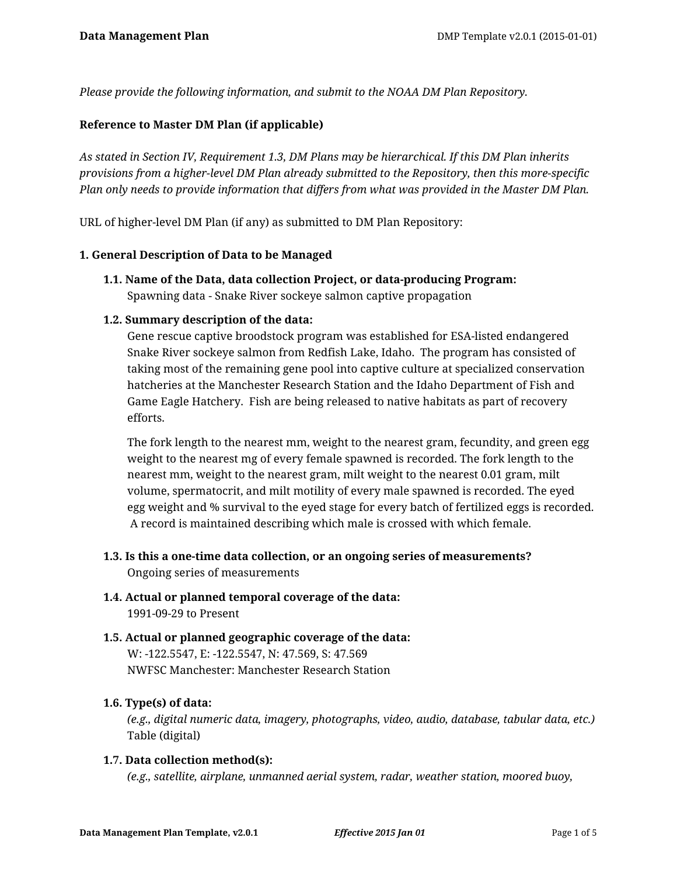*Please provide the following information, and submit to the NOAA DM Plan Repository.*

## **Reference to Master DM Plan (if applicable)**

*As stated in Section IV, Requirement 1.3, DM Plans may be hierarchical. If this DM Plan inherits provisions from a higher-level DM Plan already submitted to the Repository, then this more-specific Plan only needs to provide information that differs from what was provided in the Master DM Plan.*

URL of higher-level DM Plan (if any) as submitted to DM Plan Repository:

#### **1. General Description of Data to be Managed**

**1.1. Name of the Data, data collection Project, or data-producing Program:** Spawning data - Snake River sockeye salmon captive propagation

#### **1.2. Summary description of the data:**

Gene rescue captive broodstock program was established for ESA-listed endangered Snake River sockeye salmon from Redfish Lake, Idaho. The program has consisted of taking most of the remaining gene pool into captive culture at specialized conservation hatcheries at the Manchester Research Station and the Idaho Department of Fish and Game Eagle Hatchery. Fish are being released to native habitats as part of recovery efforts.

The fork length to the nearest mm, weight to the nearest gram, fecundity, and green egg weight to the nearest mg of every female spawned is recorded. The fork length to the nearest mm, weight to the nearest gram, milt weight to the nearest 0.01 gram, milt volume, spermatocrit, and milt motility of every male spawned is recorded. The eyed egg weight and % survival to the eyed stage for every batch of fertilized eggs is recorded. A record is maintained describing which male is crossed with which female.

- **1.3. Is this a one-time data collection, or an ongoing series of measurements?** Ongoing series of measurements
- **1.4. Actual or planned temporal coverage of the data:** 1991-09-29 to Present
- **1.5. Actual or planned geographic coverage of the data:** W: -122.5547, E: -122.5547, N: 47.569, S: 47.569 NWFSC Manchester: Manchester Research Station

#### **1.6. Type(s) of data:**

*(e.g., digital numeric data, imagery, photographs, video, audio, database, tabular data, etc.)* Table (digital)

#### **1.7. Data collection method(s):**

*(e.g., satellite, airplane, unmanned aerial system, radar, weather station, moored buoy,*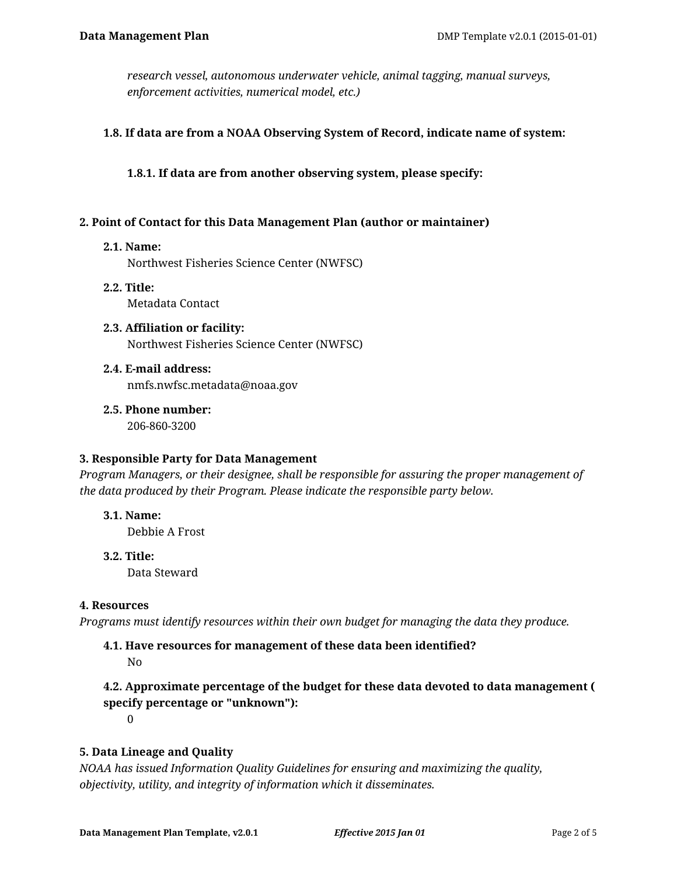*research vessel, autonomous underwater vehicle, animal tagging, manual surveys, enforcement activities, numerical model, etc.)*

#### **1.8. If data are from a NOAA Observing System of Record, indicate name of system:**

**1.8.1. If data are from another observing system, please specify:**

#### **2. Point of Contact for this Data Management Plan (author or maintainer)**

#### **2.1. Name:**

Northwest Fisheries Science Center (NWFSC)

- **2.2. Title:** Metadata Contact
- **2.3. Affiliation or facility:** Northwest Fisheries Science Center (NWFSC)
- **2.4. E-mail address:** nmfs.nwfsc.metadata@noaa.gov
- **2.5. Phone number:** 206-860-3200

#### **3. Responsible Party for Data Management**

*Program Managers, or their designee, shall be responsible for assuring the proper management of the data produced by their Program. Please indicate the responsible party below.*

- **3.1. Name:** Debbie A Frost
- **3.2. Title:**

Data Steward

#### **4. Resources**

*Programs must identify resources within their own budget for managing the data they produce.*

# **4.1. Have resources for management of these data been identified?**

No

# **4.2. Approximate percentage of the budget for these data devoted to data management ( specify percentage or "unknown"):**

 $\Omega$ 

## **5. Data Lineage and Quality**

*NOAA has issued Information Quality Guidelines for ensuring and maximizing the quality, objectivity, utility, and integrity of information which it disseminates.*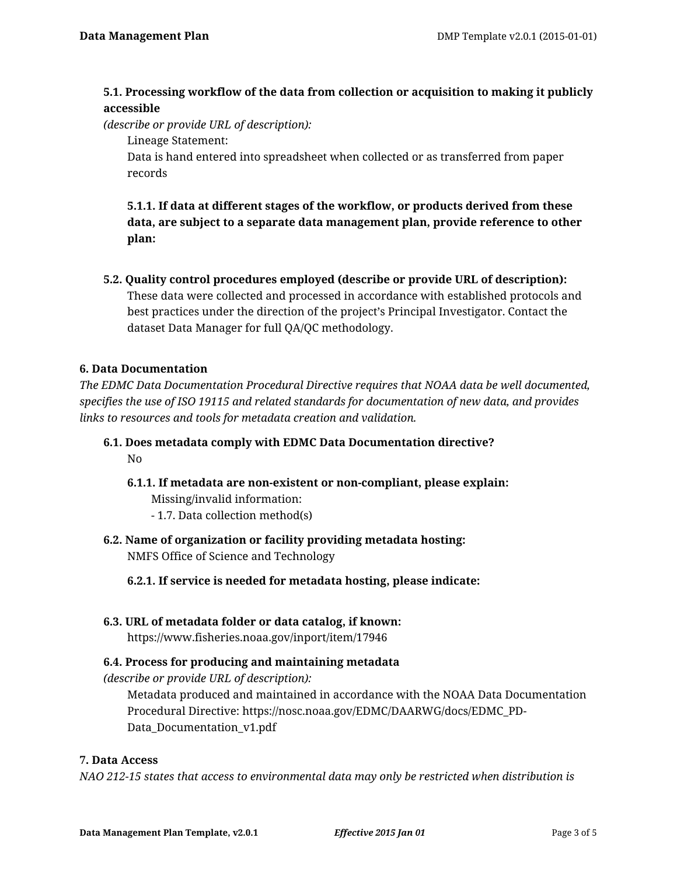## **5.1. Processing workflow of the data from collection or acquisition to making it publicly accessible**

*(describe or provide URL of description):*

Lineage Statement:

Data is hand entered into spreadsheet when collected or as transferred from paper records

**5.1.1. If data at different stages of the workflow, or products derived from these data, are subject to a separate data management plan, provide reference to other plan:**

**5.2. Quality control procedures employed (describe or provide URL of description):** These data were collected and processed in accordance with established protocols and best practices under the direction of the project's Principal Investigator. Contact the dataset Data Manager for full QA/QC methodology.

## **6. Data Documentation**

*The EDMC Data Documentation Procedural Directive requires that NOAA data be well documented, specifies the use of ISO 19115 and related standards for documentation of new data, and provides links to resources and tools for metadata creation and validation.*

- **6.1. Does metadata comply with EDMC Data Documentation directive?** No
	- **6.1.1. If metadata are non-existent or non-compliant, please explain:**

Missing/invalid information:

- 1.7. Data collection method(s)
- **6.2. Name of organization or facility providing metadata hosting:** NMFS Office of Science and Technology

**6.2.1. If service is needed for metadata hosting, please indicate:**

**6.3. URL of metadata folder or data catalog, if known:**

https://www.fisheries.noaa.gov/inport/item/17946

## **6.4. Process for producing and maintaining metadata**

*(describe or provide URL of description):*

Metadata produced and maintained in accordance with the NOAA Data Documentation Procedural Directive: https://nosc.noaa.gov/EDMC/DAARWG/docs/EDMC\_PD-Data\_Documentation\_v1.pdf

## **7. Data Access**

*NAO 212-15 states that access to environmental data may only be restricted when distribution is*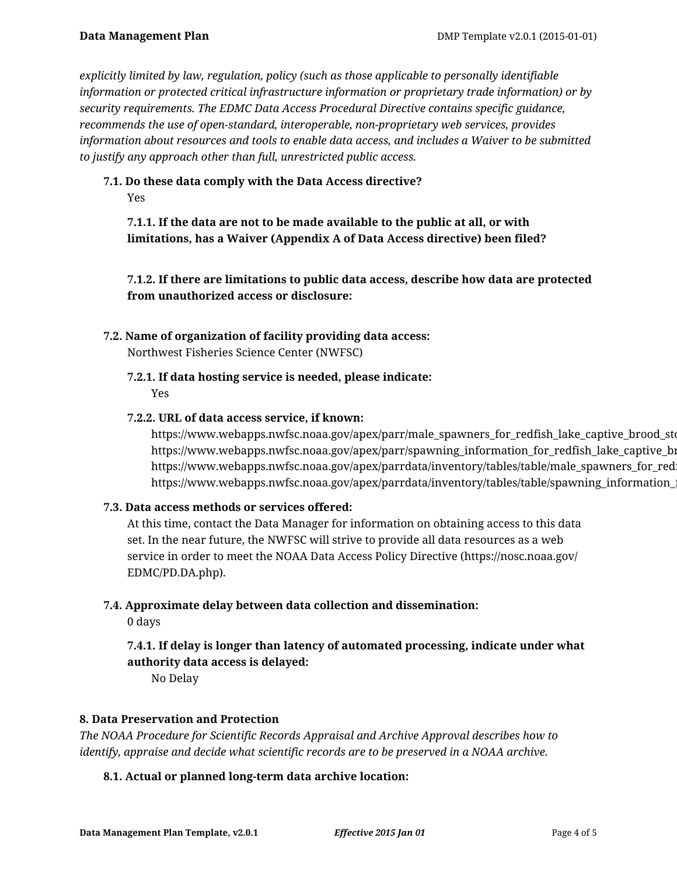*explicitly limited by law, regulation, policy (such as those applicable to personally identifiable information or protected critical infrastructure information or proprietary trade information) or by security requirements. The EDMC Data Access Procedural Directive contains specific guidance, recommends the use of open-standard, interoperable, non-proprietary web services, provides information about resources and tools to enable data access, and includes a Waiver to be submitted to justify any approach other than full, unrestricted public access.*

# **7.1. Do these data comply with the Data Access directive?**

Yes

**7.1.1. If the data are not to be made available to the public at all, or with limitations, has a Waiver (Appendix A of Data Access directive) been filed?**

**7.1.2. If there are limitations to public data access, describe how data are protected from unauthorized access or disclosure:**

## **7.2. Name of organization of facility providing data access:**

Northwest Fisheries Science Center (NWFSC)

**7.2.1. If data hosting service is needed, please indicate:** Yes

#### **7.2.2. URL of data access service, if known:**

https://www.webapps.nwfsc.noaa.gov/apex/parr/male\_spawners\_for\_redfish\_lake\_captive\_brood\_sto https://www.webapps.nwfsc.noaa.gov/apex/parr/spawning\_information\_for\_redfish\_lake\_captive\_brow https://www.webapps.nwfsc.noaa.gov/apex/parrdata/inventory/tables/table/male\_spawners\_for\_red https://www.webapps.nwfsc.noaa.gov/apex/parrdata/inventory/tables/table/spawning\_information\_

## **7.3. Data access methods or services offered:**

At this time, contact the Data Manager for information on obtaining access to this data set. In the near future, the NWFSC will strive to provide all data resources as a web service in order to meet the NOAA Data Access Policy Directive (https://nosc.noaa.gov/ EDMC/PD.DA.php).

#### **7.4. Approximate delay between data collection and dissemination:**

0 days

**7.4.1. If delay is longer than latency of automated processing, indicate under what authority data access is delayed:**

No Delay

#### **8. Data Preservation and Protection**

*The NOAA Procedure for Scientific Records Appraisal and Archive Approval describes how to identify, appraise and decide what scientific records are to be preserved in a NOAA archive.*

## **8.1. Actual or planned long-term data archive location:**